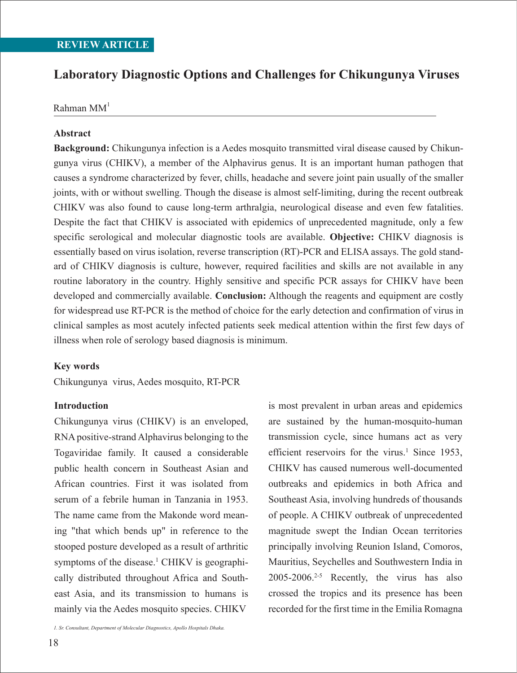# **Laboratory Diagnostic Options and Challenges for Chikungunya Viruses**

### $R$ ahman  $MM<sup>1</sup>$

### **Abstract**

**Background:** Chikungunya infection is a Aedes mosquito transmitted viral disease caused by Chikungunya virus (CHIKV), a member of the Alphavirus genus. It is an important human pathogen that causes a syndrome characterized by fever, chills, headache and severe joint pain usually of the smaller joints, with or without swelling. Though the disease is almost self-limiting, during the recent outbreak CHIKV was also found to cause long-term arthralgia, neurological disease and even few fatalities. Despite the fact that CHIKV is associated with epidemics of unprecedented magnitude, only a few specific serological and molecular diagnostic tools are available. **Objective:** CHIKV diagnosis is essentially based on virus isolation, reverse transcription (RT)-PCR and ELISA assays. The gold standard of CHIKV diagnosis is culture, however, required facilities and skills are not available in any routine laboratory in the country. Highly sensitive and specific PCR assays for CHIKV have been developed and commercially available. **Conclusion:** Although the reagents and equipment are costly for widespread use RT-PCR is the method of choice for the early detection and confirmation of virus in clinical samples as most acutely infected patients seek medical attention within the first few days of illness when role of serology based diagnosis is minimum.

#### **Key words**

Chikungunya virus, Aedes mosquito, RT-PCR

### **Introduction**

Chikungunya virus (CHIKV) is an enveloped, RNA positive-strand Alphavirus belonging to the Togaviridae family. It caused a considerable public health concern in Southeast Asian and African countries. First it was isolated from serum of a febrile human in Tanzania in 1953. The name came from the Makonde word meaning "that which bends up" in reference to the stooped posture developed as a result of arthritic symptoms of the disease.<sup>1</sup> CHIKV is geographically distributed throughout Africa and Southeast Asia, and its transmission to humans is mainly via the Aedes mosquito species. CHIKV

is most prevalent in urban areas and epidemics are sustained by the human-mosquito-human transmission cycle, since humans act as very efficient reservoirs for the virus.<sup>1</sup> Since 1953, CHIKV has caused numerous well-documented outbreaks and epidemics in both Africa and Southeast Asia, involving hundreds of thousands of people. A CHIKV outbreak of unprecedented magnitude swept the Indian Ocean territories principally involving Reunion Island, Comoros, Mauritius, Seychelles and Southwestern India in  $2005-2006.<sup>2-5</sup>$  Recently, the virus has also crossed the tropics and its presence has been recorded for the first time in the Emilia Romagna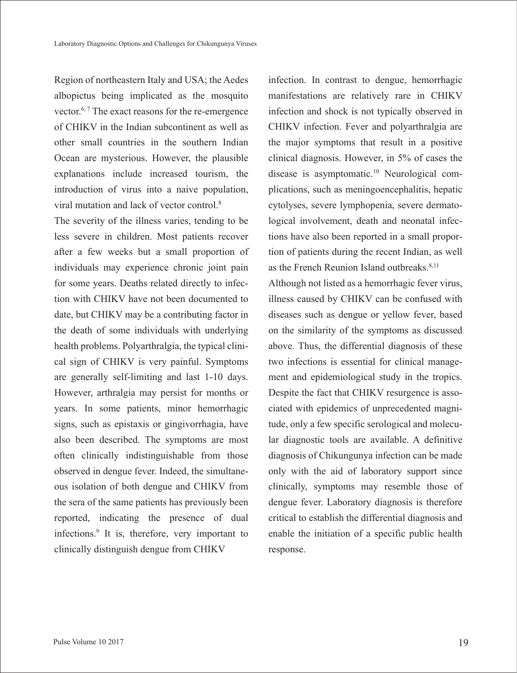Region of northeastern Italy and USA; the Aedes albopictus being implicated as the mosquito vector.6, 7 The exact reasons for the re-emergence of CHIKV in the Indian subcontinent as well as other small countries in the southern Indian Ocean are mysterious. However, the plausible explanations include increased tourism, the introduction of virus into a naive population, viral mutation and lack of vector control.8

The severity of the illness varies, tending to be less severe in children. Most patients recover after a few weeks but a small proportion of individuals may experience chronic joint pain for some years. Deaths related directly to infection with CHIKV have not been documented to date, but CHIKV may be a contributing factor in the death of some individuals with underlying health problems. Polyarthralgia, the typical clinical sign of CHIKV is very painful. Symptoms are generally self-limiting and last 1-10 days. However, arthralgia may persist for months or years. In some patients, minor hemorrhagic signs, such as epistaxis or gingivorrhagia, have also been described. The symptoms are most often clinically indistinguishable from those observed in dengue fever. Indeed, the simultaneous isolation of both dengue and CHIKV from the sera of the same patients has previously been reported, indicating the presence of dual infections.9 It is, therefore, very important to clinically distinguish dengue from CHIKV

infection. In contrast to dengue, hemorrhagic manifestations are relatively rare in CHIKV infection and shock is not typically observed in CHIKV infection. Fever and polyarthralgia are the major symptoms that result in a positive clinical diagnosis. However, in 5% of cases the disease is asymptomatic.<sup>10</sup> Neurological complications, such as meningoencephalitis, hepatic cytolyses, severe lymphopenia, severe dermatological involvement, death and neonatal infections have also been reported in a small proportion of patients during the recent Indian, as well as the French Reunion Island outbreaks.<sup>8,11</sup>

Although not listed as a hemorrhagic fever virus, illness caused by CHIKV can be confused with diseases such as dengue or yellow fever, based on the similarity of the symptoms as discussed above. Thus, the differential diagnosis of these two infections is essential for clinical management and epidemiological study in the tropics. Despite the fact that CHIKV resurgence is associated with epidemics of unprecedented magnitude, only a few specific serological and molecular diagnostic tools are available. A definitive diagnosis of Chikungunya infection can be made only with the aid of laboratory support since clinically, symptoms may resemble those of dengue fever. Laboratory diagnosis is therefore critical to establish the differential diagnosis and enable the initiation of a specific public health response.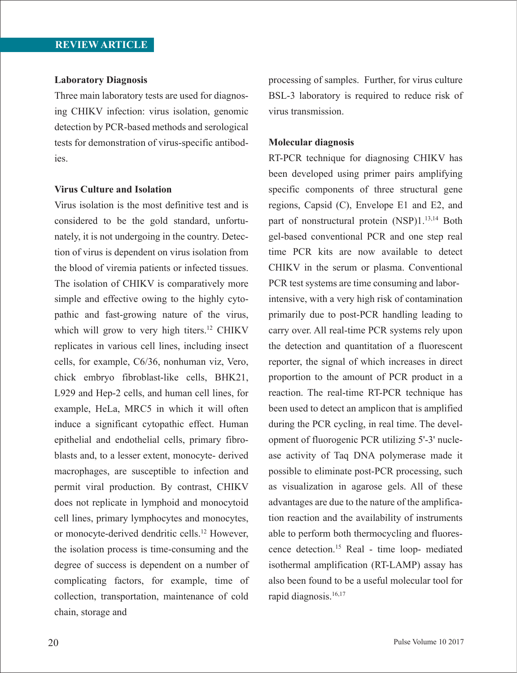#### **Laboratory Diagnosis**

Three main laboratory tests are used for diagnosing CHIKV infection: virus isolation, genomic detection by PCR-based methods and serological tests for demonstration of virus-specific antibodies.

### **Virus Culture and Isolation**

Virus isolation is the most definitive test and is considered to be the gold standard, unfortunately, it is not undergoing in the country. Detection of virus is dependent on virus isolation from the blood of viremia patients or infected tissues. The isolation of CHIKV is comparatively more simple and effective owing to the highly cytopathic and fast-growing nature of the virus, which will grow to very high titers.<sup>12</sup> CHIKV replicates in various cell lines, including insect cells, for example, C6/36, nonhuman viz, Vero, chick embryo fibroblast-like cells, BHK21, L929 and Hep-2 cells, and human cell lines, for example, HeLa, MRC5 in which it will often induce a significant cytopathic effect. Human epithelial and endothelial cells, primary fibroblasts and, to a lesser extent, monocyte- derived macrophages, are susceptible to infection and permit viral production. By contrast, CHIKV does not replicate in lymphoid and monocytoid cell lines, primary lymphocytes and monocytes, or monocyte-derived dendritic cells.12 However, the isolation process is time-consuming and the degree of success is dependent on a number of complicating factors, for example, time of collection, transportation, maintenance of cold chain, storage and

processing of samples. Further, for virus culture BSL-3 laboratory is required to reduce risk of virus transmission.

### **Molecular diagnosis**

RT-PCR technique for diagnosing CHIKV has been developed using primer pairs amplifying specific components of three structural gene regions, Capsid (C), Envelope E1 and E2, and part of nonstructural protein (NSP)1.<sup>13,14</sup> Both gel-based conventional PCR and one step real time PCR kits are now available to detect CHIKV in the serum or plasma. Conventional PCR test systems are time consuming and laborintensive, with a very high risk of contamination primarily due to post-PCR handling leading to carry over. All real-time PCR systems rely upon the detection and quantitation of a fluorescent reporter, the signal of which increases in direct proportion to the amount of PCR product in a reaction. The real-time RT-PCR technique has been used to detect an amplicon that is amplified during the PCR cycling, in real time. The development of fluorogenic PCR utilizing 5'-3' nuclease activity of Taq DNA polymerase made it possible to eliminate post-PCR processing, such as visualization in agarose gels. All of these advantages are due to the nature of the amplification reaction and the availability of instruments able to perform both thermocycling and fluorescence detection.15 Real - time loop- mediated isothermal amplification (RT-LAMP) assay has also been found to be a useful molecular tool for rapid diagnosis.16,17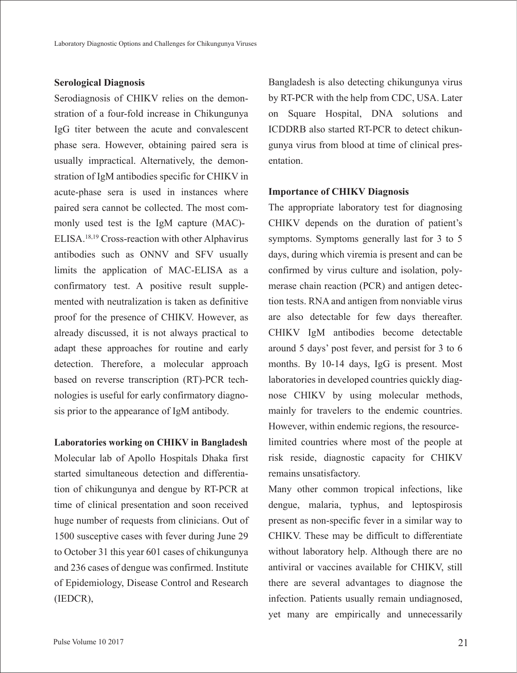### **Serological Diagnosis**

Serodiagnosis of CHIKV relies on the demonstration of a four-fold increase in Chikungunya IgG titer between the acute and convalescent phase sera. However, obtaining paired sera is usually impractical. Alternatively, the demonstration of IgM antibodies specific for CHIKV in acute-phase sera is used in instances where paired sera cannot be collected. The most commonly used test is the IgM capture (MAC)- ELISA.18,19 Cross-reaction with other Alphavirus antibodies such as ONNV and SFV usually limits the application of MAC-ELISA as a confirmatory test. A positive result supplemented with neutralization is taken as definitive proof for the presence of CHIKV. However, as already discussed, it is not always practical to adapt these approaches for routine and early detection. Therefore, a molecular approach based on reverse transcription (RT)-PCR technologies is useful for early confirmatory diagnosis prior to the appearance of IgM antibody.

### **Laboratories working on CHIKV in Bangladesh**

Molecular lab of Apollo Hospitals Dhaka first started simultaneous detection and differentiation of chikungunya and dengue by RT-PCR at time of clinical presentation and soon received huge number of requests from clinicians. Out of 1500 susceptive cases with fever during June 29 to October 31 this year 601 cases of chikungunya and 236 cases of dengue was confirmed. Institute of Epidemiology, Disease Control and Research (IEDCR),

Bangladesh is also detecting chikungunya virus by RT-PCR with the help from CDC, USA. Later on Square Hospital, DNA solutions and ICDDRB also started RT-PCR to detect chikungunya virus from blood at time of clinical presentation.

### **Importance of CHIKV Diagnosis**

The appropriate laboratory test for diagnosing CHIKV depends on the duration of patient's symptoms. Symptoms generally last for 3 to 5 days, during which viremia is present and can be confirmed by virus culture and isolation, polymerase chain reaction (PCR) and antigen detection tests. RNA and antigen from nonviable virus are also detectable for few days thereafter. CHIKV IgM antibodies become detectable around 5 days' post fever, and persist for 3 to 6 months. By 10-14 days, IgG is present. Most laboratories in developed countries quickly diagnose CHIKV by using molecular methods, mainly for travelers to the endemic countries. However, within endemic regions, the resourcelimited countries where most of the people at risk reside, diagnostic capacity for CHIKV remains unsatisfactory.

Many other common tropical infections, like dengue, malaria, typhus, and leptospirosis present as non-specific fever in a similar way to CHIKV. These may be difficult to differentiate without laboratory help. Although there are no antiviral or vaccines available for CHIKV, still there are several advantages to diagnose the infection. Patients usually remain undiagnosed, yet many are empirically and unnecessarily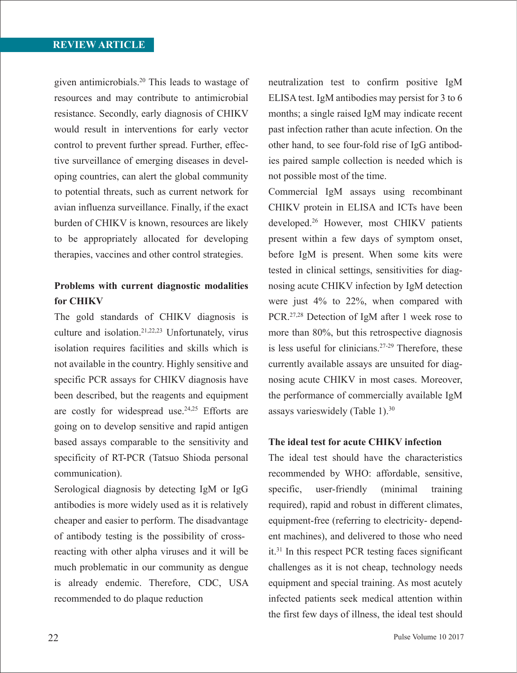given antimicrobials.20 This leads to wastage of resources and may contribute to antimicrobial resistance. Secondly, early diagnosis of CHIKV would result in interventions for early vector control to prevent further spread. Further, effective surveillance of emerging diseases in developing countries, can alert the global community to potential threats, such as current network for avian influenza surveillance. Finally, if the exact burden of CHIKV is known, resources are likely to be appropriately allocated for developing therapies, vaccines and other control strategies.

## **Problems with current diagnostic modalities for CHIKV**

The gold standards of CHIKV diagnosis is culture and isolation.21,22,23 Unfortunately, virus isolation requires facilities and skills which is not available in the country. Highly sensitive and specific PCR assays for CHIKV diagnosis have been described, but the reagents and equipment are costly for widespread use.<sup>24,25</sup> Efforts are going on to develop sensitive and rapid antigen based assays comparable to the sensitivity and specificity of RT-PCR (Tatsuo Shioda personal communication).

Serological diagnosis by detecting IgM or IgG antibodies is more widely used as it is relatively cheaper and easier to perform. The disadvantage of antibody testing is the possibility of crossreacting with other alpha viruses and it will be much problematic in our community as dengue is already endemic. Therefore, CDC, USA recommended to do plaque reduction

neutralization test to confirm positive IgM ELISA test. IgM antibodies may persist for 3 to 6 months; a single raised IgM may indicate recent past infection rather than acute infection. On the other hand, to see four-fold rise of IgG antibodies paired sample collection is needed which is not possible most of the time.

Commercial IgM assays using recombinant CHIKV protein in ELISA and ICTs have been developed.26 However, most CHIKV patients present within a few days of symptom onset, before IgM is present. When some kits were tested in clinical settings, sensitivities for diagnosing acute CHIKV infection by IgM detection were just 4% to 22%, when compared with PCR.27,28 Detection of IgM after 1 week rose to more than 80%, but this retrospective diagnosis is less useful for clinicians. $27-29$  Therefore, these currently available assays are unsuited for diagnosing acute CHIKV in most cases. Moreover, the performance of commercially available IgM assays varieswidely (Table 1).30

### **The ideal test for acute CHIKV infection**

The ideal test should have the characteristics recommended by WHO: affordable, sensitive, specific, user-friendly (minimal training required), rapid and robust in different climates, equipment-free (referring to electricity- dependent machines), and delivered to those who need it.31 In this respect PCR testing faces significant challenges as it is not cheap, technology needs equipment and special training. As most acutely infected patients seek medical attention within the first few days of illness, the ideal test should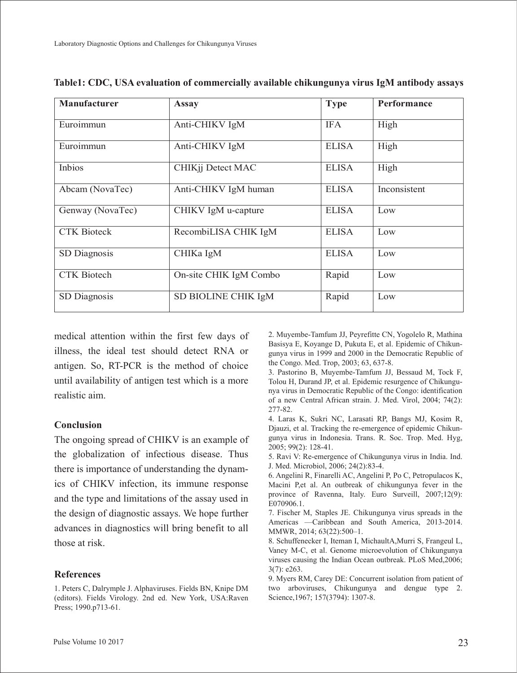| <b>Manufacturer</b> | <b>Assay</b>           | <b>Type</b>  | Performance  |
|---------------------|------------------------|--------------|--------------|
|                     |                        |              |              |
| Euroimmun           | Anti-CHIKV IgM         | <b>IFA</b>   | High         |
| Euroimmun           | Anti-CHIKV IgM         | <b>ELISA</b> | High         |
| Inbios              | CHIKjj Detect MAC      | <b>ELISA</b> | High         |
| Abcam (NovaTec)     | Anti-CHIKV IgM human   | <b>ELISA</b> | Inconsistent |
| Genway (NovaTec)    | CHIKV IgM u-capture    | <b>ELISA</b> | Low          |
| <b>CTK Bioteck</b>  | RecombiLISA CHIK IgM   | <b>ELISA</b> | Low          |
| SD Diagnosis        | CHIKa IgM              | <b>ELISA</b> | Low          |
| <b>CTK</b> Biotech  | On-site CHIK IgM Combo | Rapid        | Low          |
| SD Diagnosis        | SD BIOLINE CHIK IgM    | Rapid        | Low          |

**Table1: CDC, USA evaluation of commercially available chikungunya virus IgM antibody assays**

medical attention within the first few days of illness, the ideal test should detect RNA or antigen. So, RT-PCR is the method of choice until availability of antigen test which is a more realistic aim.

### **Conclusion**

The ongoing spread of CHIKV is an example of the globalization of infectious disease. Thus there is importance of understanding the dynamics of CHIKV infection, its immune response and the type and limitations of the assay used in the design of diagnostic assays. We hope further advances in diagnostics will bring benefit to all those at risk.

### **References**

1. Peters C, Dalrymple J. Alphaviruses. Fields BN, Knipe DM (editors). Fields Virology. 2nd ed. New York, USA:Raven Press; 1990.p713-61.

2. Muyembe-Tamfum JJ, Peyrefitte CN, Yogolelo R, Mathina Basisya E, Koyange D, Pukuta E, et al. Epidemic of Chikungunya virus in 1999 and 2000 in the Democratic Republic of the Congo. Med. Trop, 2003; 63, 637-8.

3. Pastorino B, Muyembe-Tamfum JJ, Bessaud M, Tock F, Tolou H, Durand JP, et al. Epidemic resurgence of Chikungunya virus in Democratic Republic of the Congo: identification of a new Central African strain. J. Med. Virol, 2004; 74(2): 277-82.

4. Laras K, Sukri NC, Larasati RP, Bangs MJ, Kosim R, Djauzi, et al. Tracking the re-emergence of epidemic Chikungunya virus in Indonesia. Trans. R. Soc. Trop. Med. Hyg, 2005; 99(2): 128-41.

5. Ravi V: Re-emergence of Chikungunya virus in India. Ind. J. Med. Microbiol, 2006; 24(2):83-4.

6. Angelini R, Finarelli AC, Angelini P, Po C, Petropulacos K, Macini P,et al. An outbreak of chikungunya fever in the province of Ravenna, Italy. Euro Surveill, 2007;12(9): E070906.1.

7. Fischer M, Staples JE. Chikungunya virus spreads in the Americas —Caribbean and South America, 2013-2014. MMWR, 2014; 63(22):500–1.

8. Schuffenecker I, Iteman I, MichaultA,Murri S, Frangeul L, Vaney M-C, et al. Genome microevolution of Chikungunya viruses causing the Indian Ocean outbreak. PLoS Med,2006; 3(7): e263.

9. Myers RM, Carey DE: Concurrent isolation from patient of two arboviruses, Chikungunya and dengue type 2. Science,1967; 157(3794): 1307-8.